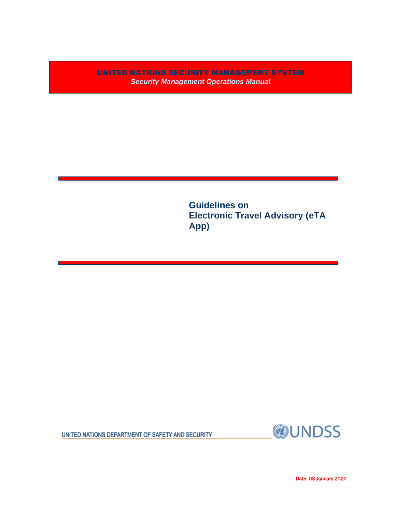UNITED NATIONS SECURITY MANAGEMENT SYSTEM *Security Management Operations Manual*

> **Guidelines on Electronic Travel Advisory (eTA App)**

UNITED NATIONS DEPARTMENT OF SAFETY AND SECURITY



Date: 08 January 2020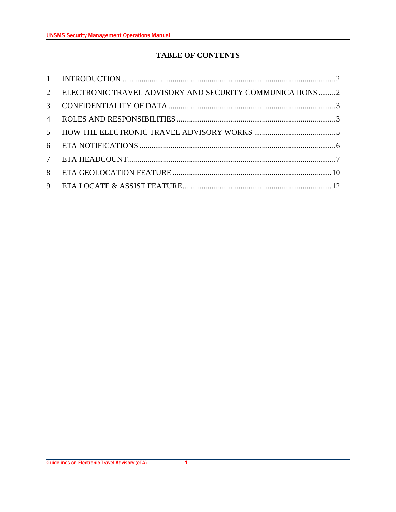# **TABLE OF CONTENTS**

| 2               | ELECTRONIC TRAVEL ADVISORY AND SECURITY COMMUNICATIONS2 |  |
|-----------------|---------------------------------------------------------|--|
| $\mathcal{E}$   |                                                         |  |
| $\overline{4}$  |                                                         |  |
| 5 <sup>5</sup>  |                                                         |  |
| 6               |                                                         |  |
| $7\overline{ }$ |                                                         |  |
| 8               |                                                         |  |
| 9               |                                                         |  |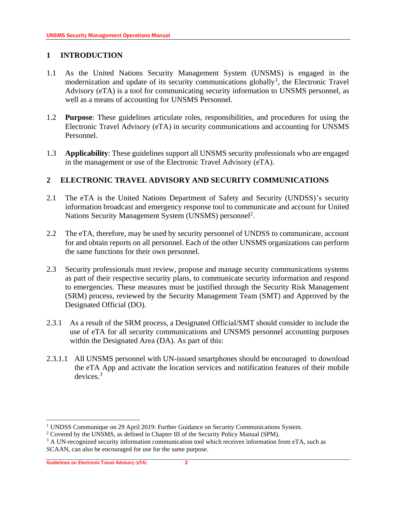## <span id="page-2-0"></span>**1 INTRODUCTION**

- 1.1 As the United Nations Security Management System (UNSMS) is engaged in the modernization and update of its security communications globally<sup>1</sup>, the Electronic Travel Advisory (eTA) is a tool for communicating security information to UNSMS personnel, as well as a means of accounting for UNSMS Personnel.
- 1.2 **Purpose**: These guidelines articulate roles, responsibilities, and procedures for using the Electronic Travel Advisory (eTA) in security communications and accounting for UNSMS Personnel.
- 1.3 **Applicability**: These guidelines support all UNSMS security professionals who are engaged in the management or use of the Electronic Travel Advisory (eTA).

## <span id="page-2-1"></span>**2 ELECTRONIC TRAVEL ADVISORY AND SECURITY COMMUNICATIONS**

- 2.1 The eTA is the United Nations Department of Safety and Security (UNDSS)'s security information broadcast and emergency response tool to communicate and account for United Nations Security Management System (UNSMS) personnel<sup>2</sup>.
- 2.2 The eTA, therefore, may be used by security personnel of UNDSS to communicate, account for and obtain reports on all personnel. Each of the other UNSMS organizations can perform the same functions for their own personnel.
- 2.3 Security professionals must review, propose and manage security communications systems as part of their respective security plans, to communicate security information and respond to emergencies. These measures must be justified through the Security Risk Management (SRM) process, reviewed by the Security Management Team (SMT) and Approved by the Designated Official (DO).
- 2.3.1 As a result of the SRM process, a Designated Official/SMT should consider to include the use of eTA for all security communications and UNSMS personnel accounting purposes within the Designated Area (DA). As part of this:
- 2.3.1.1 All UNSMS personnel with UN-issued smartphones should be encouraged to download the eTA App and activate the location services and notification features of their mobile devices. 3

<sup>&</sup>lt;sup>1</sup> UNDSS Communique on 29 April 2019: Further Guidance on Security Communications System.

<sup>&</sup>lt;sup>2</sup> Covered by the UNSMS, as defined in Chapter III of the Security Policy Manual (SPM).

<sup>&</sup>lt;sup>3</sup> A UN-recognized security information communication tool which receives information from eTA, such as SCAAN, can also be encouraged for use for the same purpose.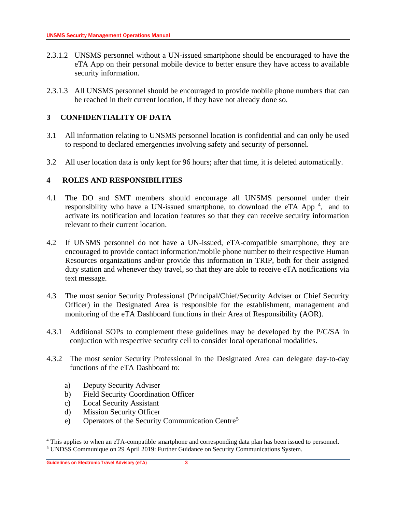- 2.3.1.2 UNSMS personnel without a UN-issued smartphone should be encouraged to have the eTA App on their personal mobile device to better ensure they have access to available security information.
- 2.3.1.3 All UNSMS personnel should be encouraged to provide mobile phone numbers that can be reached in their current location, if they have not already done so.

# <span id="page-3-0"></span>**3 CONFIDENTIALITY OF DATA**

- 3.1 All information relating to UNSMS personnel location is confidential and can only be used to respond to declared emergencies involving safety and security of personnel.
- 3.2 All user location data is only kept for 96 hours; after that time, it is deleted automatically.

# <span id="page-3-1"></span>**4 ROLES AND RESPONSIBILITIES**

- 4.1 The DO and SMT members should encourage all UNSMS personnel under their responsibility who have a UN-issued smartphone, to download the eTA App<sup>4</sup>, and to activate its notification and location features so that they can receive security information relevant to their current location.
- 4.2 If UNSMS personnel do not have a UN-issued, eTA-compatible smartphone, they are encouraged to provide contact information/mobile phone number to their respective Human Resources organizations and/or provide this information in TRIP, both for their assigned duty station and whenever they travel, so that they are able to receive eTA notifications via text message.
- 4.3 The most senior Security Professional (Principal/Chief/Security Adviser or Chief Security Officer) in the Designated Area is responsible for the establishment, management and monitoring of the eTA Dashboard functions in their Area of Responsibility (AOR).
- 4.3.1 Additional SOPs to complement these guidelines may be developed by the P/C/SA in conjuction with respective security cell to consider local operational modalities.
- 4.3.2 The most senior Security Professional in the Designated Area can delegate day-to-day functions of the eTA Dashboard to:
	- a) Deputy Security Adviser
	- b) Field Security Coordination Officer
	- c) Local Security Assistant
	- d) Mission Security Officer
	- e) Operators of the Security Communication Centre<sup>5</sup>

<sup>4</sup> This applies to when an eTA-compatible smartphone and corresponding data plan has been issued to personnel.

<sup>5</sup> UNDSS Communique on 29 April 2019: Further Guidance on Security Communications System.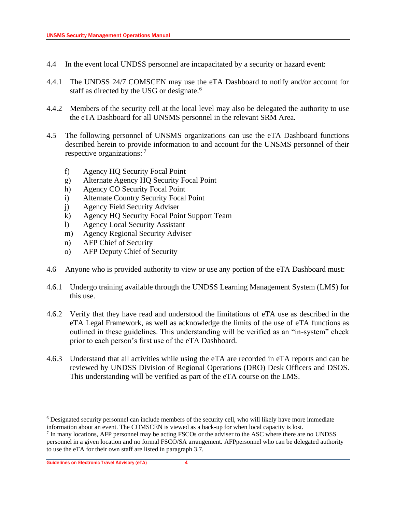- 4.4 In the event local UNDSS personnel are incapacitated by a security or hazard event:
- 4.4.1 The UNDSS 24/7 COMSCEN may use the eTA Dashboard to notify and/or account for staff as directed by the USG or designate.<sup>6</sup>
- 4.4.2 Members of the security cell at the local level may also be delegated the authority to use the eTA Dashboard for all UNSMS personnel in the relevant SRM Area.
- 4.5 The following personnel of UNSMS organizations can use the eTA Dashboard functions described herein to provide information to and account for the UNSMS personnel of their respective organizations: <sup>7</sup>
	- f) Agency HQ Security Focal Point
	- g) Alternate Agency HQ Security Focal Point
	- h) Agency CO Security Focal Point
	- i) Alternate Country Security Focal Point
	- j) Agency Field Security Adviser
	- k) Agency HQ Security Focal Point Support Team
	- l) Agency Local Security Assistant
	- m) Agency Regional Security Adviser
	- n) AFP Chief of Security
	- o) AFP Deputy Chief of Security
- 4.6 Anyone who is provided authority to view or use any portion of the eTA Dashboard must:
- 4.6.1 Undergo training available through the UNDSS Learning Management System (LMS) for this use.
- 4.6.2 Verify that they have read and understood the limitations of eTA use as described in the eTA Legal Framework, as well as acknowledge the limits of the use of eTA functions as outlined in these guidelines. This understanding will be verified as an "in-system" check prior to each person's first use of the eTA Dashboard.
- 4.6.3 Understand that all activities while using the eTA are recorded in eTA reports and can be reviewed by UNDSS Division of Regional Operations (DRO) Desk Officers and DSOS. This understanding will be verified as part of the eTA course on the LMS.

<sup>6</sup> Designated security personnel can include members of the security cell, who will likely have more immediate information about an event. The COMSCEN is viewed as a back-up for when local capacity is lost.

<sup>&</sup>lt;sup>7</sup> In many locations, AFP personnel may be acting FSCOs or the adviser to the ASC where there are no UNDSS personnel in a given location and no formal FSCO/SA arrangement. AFPpersonnel who can be delegated authority to use the eTA for their own staff are listed in paragraph 3.7.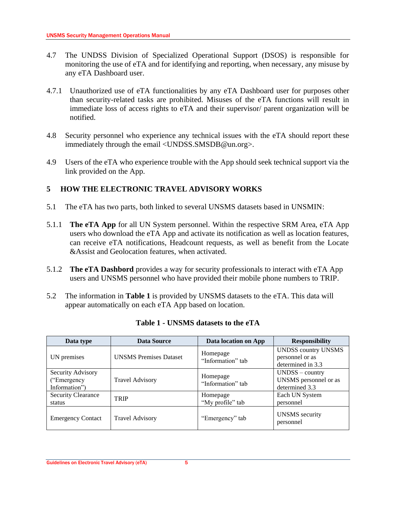- 4.7 The UNDSS Division of Specialized Operational Support (DSOS) is responsible for monitoring the use of eTA and for identifying and reporting, when necessary, any misuse by any eTA Dashboard user.
- 4.7.1 Unauthorized use of eTA functionalities by any eTA Dashboard user for purposes other than security-related tasks are prohibited. Misuses of the eTA functions will result in immediate loss of access rights to eTA and their supervisor/ parent organization will be notified.
- 4.8 Security personnel who experience any technical issues with the eTA should report these immediately through the email <UNDSS.SMSDB@un.org>.
- 4.9 Users of the eTA who experience trouble with the App should seek technical support via the link provided on the App.

## <span id="page-5-0"></span>**5 HOW THE ELECTRONIC TRAVEL ADVISORY WORKS**

- 5.1 The eTA has two parts, both linked to several UNSMS datasets based in UNSMIN:
- 5.1.1 **The eTA App** for all UN System personnel. Within the respective SRM Area, eTA App users who download the eTA App and activate its notification as well as location features, can receive eTA notifications, Headcount requests, as well as benefit from the Locate &Assist and Geolocation features, when activated.
- 5.1.2 **The eTA Dashbord** provides a way for security professionals to interact with eTA App users and UNSMS personnel who have provided their mobile phone numbers to TRIP.
- 5.2 The information in **Table 1** is provided by UNSMS datasets to the eTA. This data will appear automatically on each eTA App based on location.

| Data type                                           | <b>Data Source</b>            | Data location on App          | <b>Responsibility</b>                                              |
|-----------------------------------------------------|-------------------------------|-------------------------------|--------------------------------------------------------------------|
| UN premises                                         | <b>UNSMS</b> Premises Dataset | Homepage<br>"Information" tab | <b>UNDSS country UNSMS</b><br>personnel or as<br>determined in 3.3 |
| Security Advisory<br>("Emergency")<br>Information") | <b>Travel Advisory</b>        | Homepage<br>"Information" tab | $UNDSS - country$<br>UNSMS personnel or as<br>determined 3.3       |
| <b>Security Clearance</b><br>status                 | TRIP                          | Homepage<br>"My profile" tab  | Each UN System<br>personnel                                        |
| <b>Emergency Contact</b>                            | <b>Travel Advisory</b>        | "Emergency" tab               | <b>UNSMS</b> security<br>personnel                                 |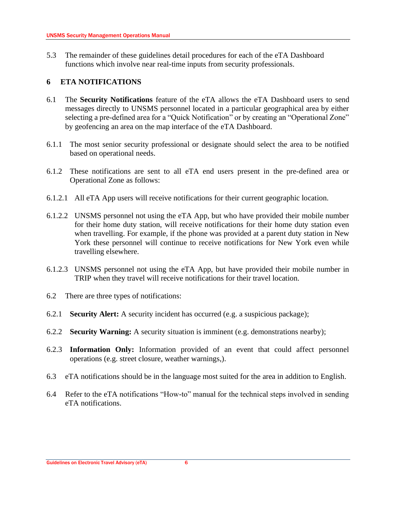<span id="page-6-0"></span>5.3 The remainder of these guidelines detail procedures for each of the eTA Dashboard functions which involve near real-time inputs from security professionals.

## **6 ETA NOTIFICATIONS**

- 6.1 The **Security Notifications** feature of the eTA allows the eTA Dashboard users to send messages directly to UNSMS personnel located in a particular geographical area by either selecting a pre-defined area for a "Quick Notification" or by creating an "Operational Zone" by geofencing an area on the map interface of the eTA Dashboard.
- 6.1.1 The most senior security professional or designate should select the area to be notified based on operational needs.
- 6.1.2 These notifications are sent to all eTA end users present in the pre-defined area or Operational Zone as follows:
- 6.1.2.1 All eTA App users will receive notifications for their current geographic location.
- 6.1.2.2 UNSMS personnel not using the eTA App, but who have provided their mobile number for their home duty station, will receive notifications for their home duty station even when travelling. For example, if the phone was provided at a parent duty station in New York these personnel will continue to receive notifications for New York even while travelling elsewhere.
- 6.1.2.3 UNSMS personnel not using the eTA App, but have provided their mobile number in TRIP when they travel will receive notifications for their travel location.
- 6.2 There are three types of notifications:
- 6.2.1 **Security Alert:** A security incident has occurred (e.g. a suspicious package);
- 6.2.2 **Security Warning:** A security situation is imminent (e.g. demonstrations nearby);
- 6.2.3 **Information Only:** Information provided of an event that could affect personnel operations (e.g. street closure, weather warnings,).
- 6.3 eTA notifications should be in the language most suited for the area in addition to English.
- 6.4 Refer to the eTA notifications "How-to" manual for the technical steps involved in sending eTA notifications.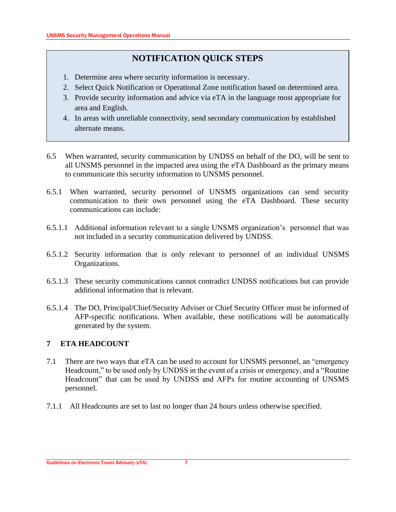# **NOTIFICATION QUICK STEPS**

- 1. Determine area where security information is necessary.
- 2. Select Quick Notification or Operational Zone notification based on determined area.
- 3. Provide security information and advice via eTA in the language most appropriate for area and English.
- 4. In areas with unreliable connectivity, send secondary communication by established alternate means.
- 6.5 When warranted, security communication by UNDSS on behalf of the DO, will be sent to all UNSMS personnel in the impacted area using the eTA Dashboard as the primary means to communicate this security information to UNSMS personnel.
- 6.5.1 When warranted, security personnel of UNSMS organizations can send security communication to their own personnel using the eTA Dashboard. These security communications can include:
- 6.5.1.1 Additional information relevant to a single UNSMS organization's personnel that was not included in a security communication delivered by UNDSS.
- 6.5.1.2 Security information that is only relevant to personnel of an individual UNSMS Organizations.
- 6.5.1.3 These security communications cannot contradict UNDSS notifications but can provide additional information that is relevant.
- 6.5.1.4 The DO, Principal/Chief/Security Adviser or Chief Security Officer must be informed of AFP-specific notifications. When available, these notifications will be automatically generated by the system.

## <span id="page-7-0"></span>**7 ETA HEADCOUNT**

- 7.1 There are two ways that eTA can be used to account for UNSMS personnel, an "emergency Headcount," to be used only by UNDSS in the event of a crisis or emergency, and a "Routine Headcount" that can be used by UNDSS and AFPs for routine accounting of UNSMS personnel.
- 7.1.1 All Headcounts are set to last no longer than 24 hours unless otherwise specified.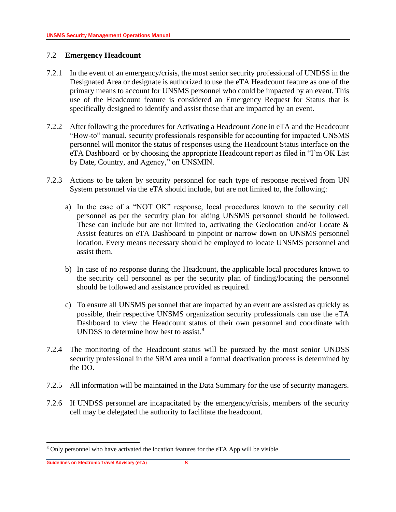#### 7.2 **Emergency Headcount**

- 7.2.1 In the event of an emergency/crisis, the most senior security professional of UNDSS in the Designated Area or designate is authorized to use the eTA Headcount feature as one of the primary means to account for UNSMS personnel who could be impacted by an event. This use of the Headcount feature is considered an Emergency Request for Status that is specifically designed to identify and assist those that are impacted by an event.
- 7.2.2 After following the procedures for Activating a Headcount Zone in eTA and the Headcount "How-to" manual, security professionals responsible for accounting for impacted UNSMS personnel will monitor the status of responses using the Headcount Status interface on the eTA Dashboard or by choosing the appropriate Headcount report as filed in "I'm OK List by Date, Country, and Agency," on UNSMIN.
- 7.2.3 Actions to be taken by security personnel for each type of response received from UN System personnel via the eTA should include, but are not limited to, the following:
	- a) In the case of a "NOT OK" response, local procedures known to the security cell personnel as per the security plan for aiding UNSMS personnel should be followed. These can include but are not limited to, activating the Geolocation and/or Locate  $\&$ Assist features on eTA Dashboard to pinpoint or narrow down on UNSMS personnel location. Every means necessary should be employed to locate UNSMS personnel and assist them.
	- b) In case of no response during the Headcount, the applicable local procedures known to the security cell personnel as per the security plan of finding/locating the personnel should be followed and assistance provided as required.
	- c) To ensure all UNSMS personnel that are impacted by an event are assisted as quickly as possible, their respective UNSMS organization security professionals can use the eTA Dashboard to view the Headcount status of their own personnel and coordinate with UNDSS to determine how best to assist.<sup>8</sup>
- 7.2.4 The monitoring of the Headcount status will be pursued by the most senior UNDSS security professional in the SRM area until a formal deactivation process is determined by the DO.
- 7.2.5 All information will be maintained in the Data Summary for the use of security managers.
- 7.2.6 If UNDSS personnel are incapacitated by the emergency/crisis, members of the security cell may be delegated the authority to facilitate the headcount.

<sup>8</sup> Only personnel who have activated the location features for the eTA App will be visible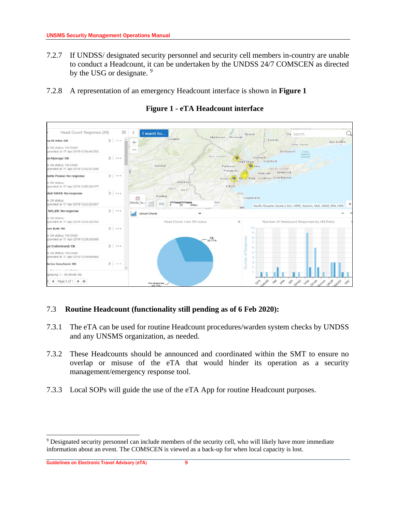- 7.2.7 If UNDSS/ designated security personnel and security cell members in-country are unable to conduct a Headcount, it can be undertaken by the UNDSS 24/7 COMSCEN as directed by the USG or designate.<sup>9</sup>
- 7.2.8 A representation of an emergency Headcount interface is shown in **Figure 1**



**Figure 1 - eTA Headcount interface**

## 7.3 **Routine Headcount (functionality still pending as of 6 Feb 2020):**

- 7.3.1 The eTA can be used for routine Headcount procedures/warden system checks by UNDSS and any UNSMS organization, as needed.
- 7.3.2 These Headcounts should be announced and coordinated within the SMT to ensure no overlap or misuse of the eTA that would hinder its operation as a security management/emergency response tool.
- 7.3.3 Local SOPs will guide the use of the eTA App for routine Headcount purposes.

<sup>9</sup> Designated security personnel can include members of the security cell, who will likely have more immediate information about an event. The COMSCEN is viewed as a back-up for when local capacity is lost.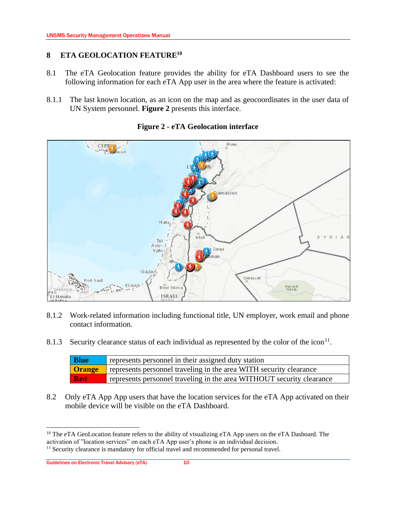## <span id="page-10-0"></span>**8 ETA GEOLOCATION FEATURE<sup>10</sup>**

- 8.1 The eTA Geolocation feature provides the ability for eTA Dashboard users to see the following information for each eTA App user in the area where the feature is activated:
- 8.1.1 The last known location, as an icon on the map and as geocoordinates in the user data of UN System personnel. **Figure 2** presents this interface.



### **Figure 2 - eTA Geolocation interface**

- 8.1.2 Work-related information including functional title, UN employer, work email and phone contact information.
- 8.1.3 Security clearance status of each individual as represented by the color of the icon<sup>11</sup>.

| <b>Blue</b> | represents personnel in their assigned duty station                              |
|-------------|----------------------------------------------------------------------------------|
|             | <b>Orange</b> represents personnel traveling in the area WITH security clearance |
| Red         | represents personnel traveling in the area WITHOUT security clearance            |

8.2 Only eTA App App users that have the location services for the eTA App activated on their mobile device will be visible on the eTA Dashboard.

<sup>&</sup>lt;sup>10</sup> The eTA GeoLocation feature refers to the ability of visualizing eTA App users on the eTA Dasboard. The activation of "location services" on each eTA App user's phone is an individual decision.

<sup>&</sup>lt;sup>11</sup> Security clearance is mandatory for official travel and recommended for personal travel.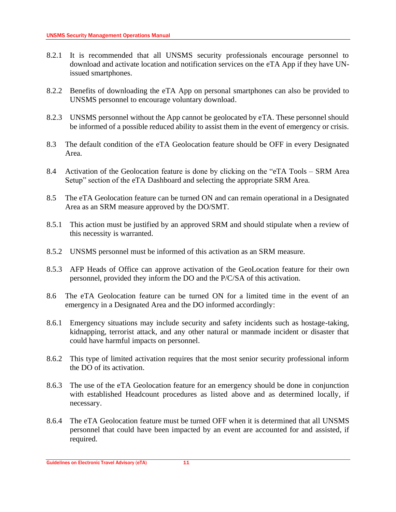- 8.2.1 It is recommended that all UNSMS security professionals encourage personnel to download and activate location and notification services on the eTA App if they have UNissued smartphones.
- 8.2.2 Benefits of downloading the eTA App on personal smartphones can also be provided to UNSMS personnel to encourage voluntary download.
- 8.2.3 UNSMS personnel without the App cannot be geolocated by eTA. These personnel should be informed of a possible reduced ability to assist them in the event of emergency or crisis.
- 8.3 The default condition of the eTA Geolocation feature should be OFF in every Designated Area.
- 8.4 Activation of the Geolocation feature is done by clicking on the "eTA Tools SRM Area Setup" section of the eTA Dashboard and selecting the appropriate SRM Area.
- 8.5 The eTA Geolocation feature can be turned ON and can remain operational in a Designated Area as an SRM measure approved by the DO/SMT.
- 8.5.1 This action must be justified by an approved SRM and should stipulate when a review of this necessity is warranted.
- 8.5.2 UNSMS personnel must be informed of this activation as an SRM measure.
- 8.5.3 AFP Heads of Office can approve activation of the GeoLocation feature for their own personnel, provided they inform the DO and the P/C/SA of this activation.
- 8.6 The eTA Geolocation feature can be turned ON for a limited time in the event of an emergency in a Designated Area and the DO informed accordingly:
- 8.6.1 Emergency situations may include security and safety incidents such as hostage-taking, kidnapping, terrorist attack, and any other natural or manmade incident or disaster that could have harmful impacts on personnel.
- 8.6.2 This type of limited activation requires that the most senior security professional inform the DO of its activation.
- 8.6.3 The use of the eTA Geolocation feature for an emergency should be done in conjunction with established Headcount procedures as listed above and as determined locally, if necessary.
- 8.6.4 The eTA Geolocation feature must be turned OFF when it is determined that all UNSMS personnel that could have been impacted by an event are accounted for and assisted, if required.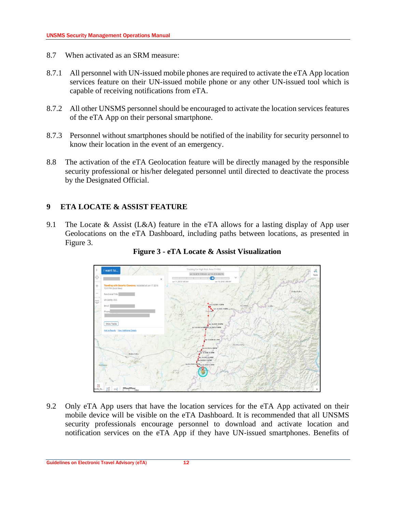- 8.7 When activated as an SRM measure:
- 8.7.1 All personnel with UN-issued mobile phones are required to activate the eTA App location services feature on their UN-issued mobile phone or any other UN-issued tool which is capable of receiving notifications from eTA.
- 8.7.2 All other UNSMS personnel should be encouraged to activate the location services features of the eTA App on their personal smartphone.
- 8.7.3 Personnel without smartphones should be notified of the inability for security personnel to know their location in the event of an emergency.
- 8.8 The activation of the eTA Geolocation feature will be directly managed by the responsible security professional or his/her delegated personnel until directed to deactivate the process by the Designated Official.

### <span id="page-12-0"></span>**9 ETA LOCATE & ASSIST FEATURE**

9.1 The Locate & Assist (L&A) feature in the eTA allows for a lasting display of App user Geolocations on the eTA Dashboard, including paths between locations, as presented in Figure 3.



**Figure 3 - eTA Locate & Assist Visualization**

9.2 Only eTA App users that have the location services for the eTA App activated on their mobile device will be visible on the eTA Dashboard. It is recommended that all UNSMS security professionals encourage personnel to download and activate location and notification services on the eTA App if they have UN-issued smartphones. Benefits of